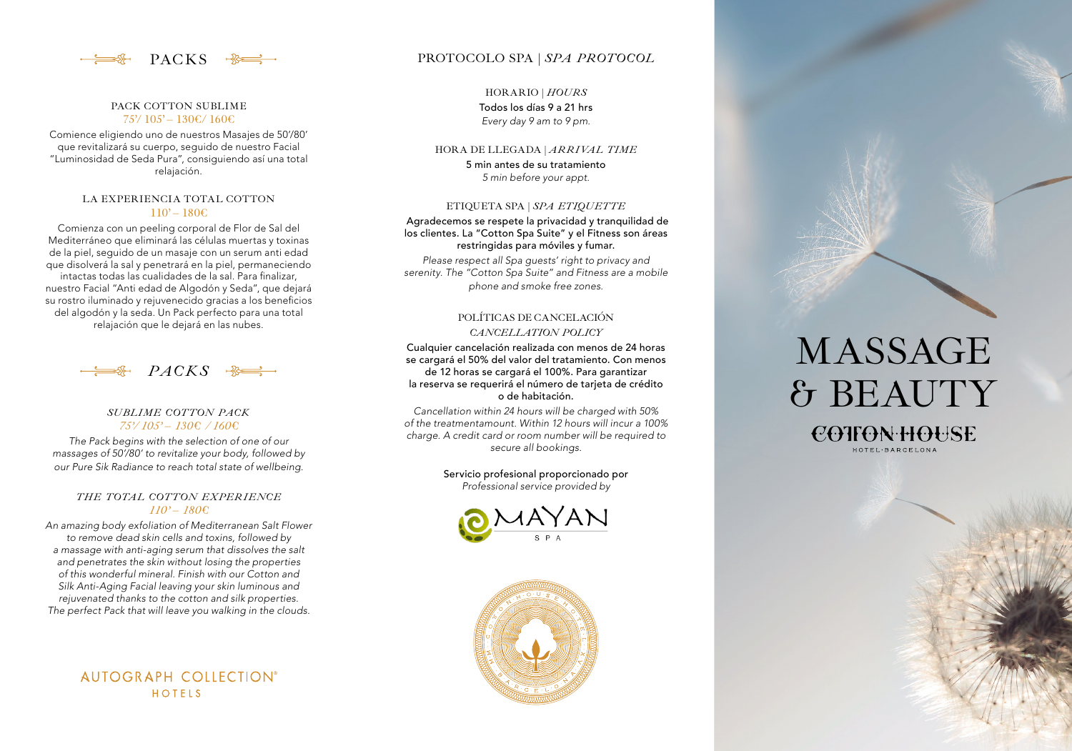

#### PACK COTTON SUBLIME  $75'/105' - 130 \text{E} / 160 \text{E}$

Comience eligiendo uno de nuestros Masajes de 50'/80' que revitalizará su cuerpo, seguido de nuestro Facial "Luminosidad de Seda Pura", consiguiendo así una total relajación.

#### LA EXPERIENCIA TOTAL COTTON  $110' - 180 \epsilon$

Comienza con un peeling corporal de Flor de Sal del Mediterráneo que eliminará las células muertas y toxinas de la piel, seguido de un masaje con un serum anti edad que disolverá la sal y penetrará en la piel, permaneciendo intactas todas las cualidades de la sal. Para finalizar, nuestro Facial "Anti edad de Algodón y Seda", que dejará su rostro iluminado y rejuvenecido gracias a los beneficios del algodón y la seda. Un Pack perfecto para una total relajación que le dejará en las nubes.



# *SUBLIME COTTON PACK 75'/ 105' – 130€ / 160€*

*The Pack begins with the selection of one of our massages of 50'/80' to revitalize your body, followed by our Pure Sik Radiance to reach total state of wellbeing.*

#### *THE TOTAL COTTON EXPERIENCE 110' – 180€*

*An amazing body exfoliation of Mediterranean Salt Flower to remove dead skin cells and toxins, followed by a massage with anti-aging serum that dissolves the salt and penetrates the skin without losing the properties of this wonderful mineral. Finish with our Cotton and Silk Anti-Aging Facial leaving your skin luminous and rejuvenated thanks to the cotton and silk properties. The perfect Pack that will leave you walking in the clouds.*

> AUTOGRAPH COLLECTION® HOTFIS

# PACKS  $\rightarrow$  **PROTOCOLO** SPA | *SPA PROTOCOL*

HORARIO | *HOURS* Todos los días 9 a 21 hrs *Every day 9 am to 9 pm.*

#### HORA DE LLEGADA | *ARRIVAL TIME*

5 min antes de su tratamiento *5 min before your appt.*

#### ETIQUETA SPA | *SPA ETIQUETTE*

Agradecemos se respete la privacidad y tranquilidad de los clientes. La "Cotton Spa Suite" y el Fitness son áreas restringidas para móviles y fumar.

*Please respect all Spa guests' right to privacy and serenity. The "Cotton Spa Suite" and Fitness are a mobile phone and smoke free zones.*

# POLÍTICAS DE CANCELACIÓN *CANCELLATION POLICY*

Cualquier cancelación realizada con menos de 24 horas se cargará el 50% del valor del tratamiento. Con menos de 12 horas se cargará el 100%. Para garantizar la reserva se requerirá el número de tarjeta de crédito o de habitación.

*Cancellation within 24 hours will be charged with 50% of the treatmentamount. Within 12 hours will incur a 100% charge. A credit card or room number will be required to secure all bookings.*

> Servicio profesional proporcionado por *Professional service provided by*





# MASSAGE & BEAUTY

COTFON HOUSE HOTEL·BARCELONA